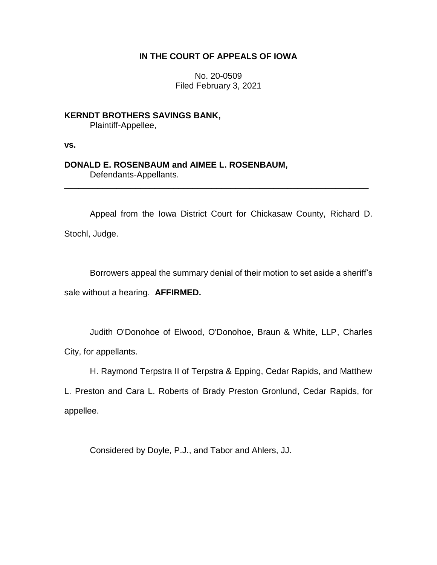## **IN THE COURT OF APPEALS OF IOWA**

No. 20-0509 Filed February 3, 2021

**KERNDT BROTHERS SAVINGS BANK,** Plaintiff-Appellee,

**vs.**

## **DONALD E. ROSENBAUM and AIMEE L. ROSENBAUM,**

Defendants-Appellants.

Appeal from the Iowa District Court for Chickasaw County, Richard D. Stochl, Judge.

\_\_\_\_\_\_\_\_\_\_\_\_\_\_\_\_\_\_\_\_\_\_\_\_\_\_\_\_\_\_\_\_\_\_\_\_\_\_\_\_\_\_\_\_\_\_\_\_\_\_\_\_\_\_\_\_\_\_\_\_\_\_\_\_

Borrowers appeal the summary denial of their motion to set aside a sheriff's sale without a hearing. **AFFIRMED.**

Judith O'Donohoe of Elwood, O'Donohoe, Braun & White, LLP, Charles City, for appellants.

H. Raymond Terpstra II of Terpstra & Epping, Cedar Rapids, and Matthew

L. Preston and Cara L. Roberts of Brady Preston Gronlund, Cedar Rapids, for appellee.

Considered by Doyle, P.J., and Tabor and Ahlers, JJ.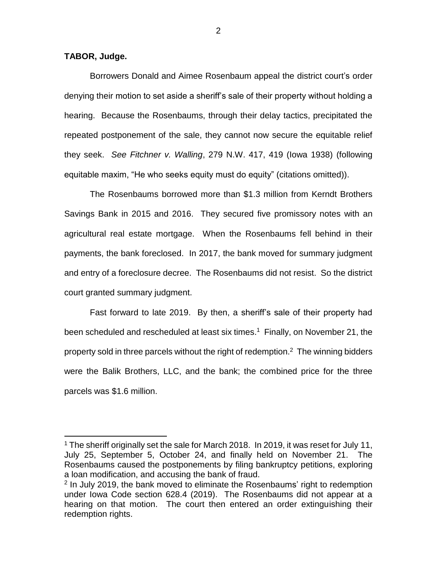**TABOR, Judge.**

 $\overline{a}$ 

Borrowers Donald and Aimee Rosenbaum appeal the district court's order denying their motion to set aside a sheriff's sale of their property without holding a hearing. Because the Rosenbaums, through their delay tactics, precipitated the repeated postponement of the sale, they cannot now secure the equitable relief they seek. *See Fitchner v. Walling*, 279 N.W. 417, 419 (Iowa 1938) (following equitable maxim, "He who seeks equity must do equity" (citations omitted)).

The Rosenbaums borrowed more than \$1.3 million from Kerndt Brothers Savings Bank in 2015 and 2016. They secured five promissory notes with an agricultural real estate mortgage. When the Rosenbaums fell behind in their payments, the bank foreclosed. In 2017, the bank moved for summary judgment and entry of a foreclosure decree. The Rosenbaums did not resist. So the district court granted summary judgment.

Fast forward to late 2019. By then, a sheriff's sale of their property had been scheduled and rescheduled at least six times.<sup>1</sup> Finally, on November 21, the property sold in three parcels without the right of redemption.<sup>2</sup> The winning bidders were the Balik Brothers, LLC, and the bank; the combined price for the three parcels was \$1.6 million.

<sup>&</sup>lt;sup>1</sup> The sheriff originally set the sale for March 2018. In 2019, it was reset for July 11, July 25, September 5, October 24, and finally held on November 21. The Rosenbaums caused the postponements by filing bankruptcy petitions, exploring a loan modification, and accusing the bank of fraud.

<sup>&</sup>lt;sup>2</sup> In July 2019, the bank moved to eliminate the Rosenbaums' right to redemption under Iowa Code section 628.4 (2019). The Rosenbaums did not appear at a hearing on that motion. The court then entered an order extinguishing their redemption rights.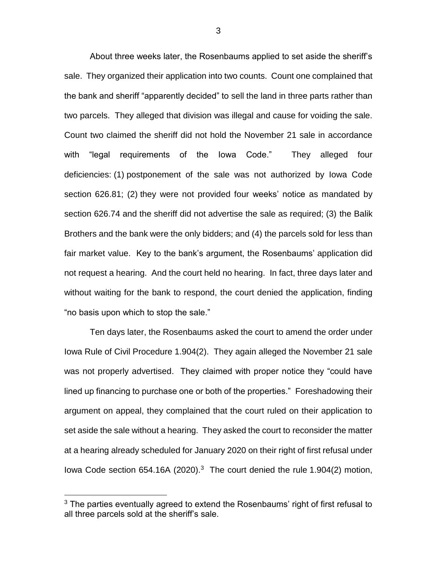About three weeks later, the Rosenbaums applied to set aside the sheriff's sale. They organized their application into two counts. Count one complained that the bank and sheriff "apparently decided" to sell the land in three parts rather than two parcels. They alleged that division was illegal and cause for voiding the sale. Count two claimed the sheriff did not hold the November 21 sale in accordance with "legal requirements of the Iowa Code." They alleged four deficiencies: (1) postponement of the sale was not authorized by Iowa Code section 626.81; (2) they were not provided four weeks' notice as mandated by section 626.74 and the sheriff did not advertise the sale as required; (3) the Balik Brothers and the bank were the only bidders; and (4) the parcels sold for less than fair market value. Key to the bank's argument, the Rosenbaums' application did not request a hearing. And the court held no hearing. In fact, three days later and without waiting for the bank to respond, the court denied the application, finding "no basis upon which to stop the sale."

Ten days later, the Rosenbaums asked the court to amend the order under Iowa Rule of Civil Procedure 1.904(2). They again alleged the November 21 sale was not properly advertised. They claimed with proper notice they "could have lined up financing to purchase one or both of the properties." Foreshadowing their argument on appeal, they complained that the court ruled on their application to set aside the sale without a hearing. They asked the court to reconsider the matter at a hearing already scheduled for January 2020 on their right of first refusal under lowa Code section  $654.16A$  (2020).<sup>3</sup> The court denied the rule 1.904(2) motion,

 $\overline{a}$ 

 $3$  The parties eventually agreed to extend the Rosenbaums' right of first refusal to all three parcels sold at the sheriff's sale.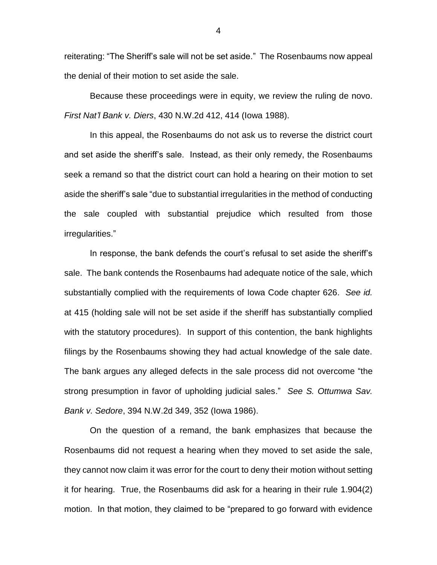reiterating: "The Sheriff's sale will not be set aside." The Rosenbaums now appeal the denial of their motion to set aside the sale.

Because these proceedings were in equity, we review the ruling de novo. *First Nat'l Bank v. Diers*, 430 N.W.2d 412, 414 (Iowa 1988).

In this appeal, the Rosenbaums do not ask us to reverse the district court and set aside the sheriff's sale. Instead, as their only remedy, the Rosenbaums seek a remand so that the district court can hold a hearing on their motion to set aside the sheriff's sale "due to substantial irregularities in the method of conducting the sale coupled with substantial prejudice which resulted from those irregularities."

In response, the bank defends the court's refusal to set aside the sheriff's sale. The bank contends the Rosenbaums had adequate notice of the sale, which substantially complied with the requirements of Iowa Code chapter 626. *See id.* at 415 (holding sale will not be set aside if the sheriff has substantially complied with the statutory procedures). In support of this contention, the bank highlights filings by the Rosenbaums showing they had actual knowledge of the sale date. The bank argues any alleged defects in the sale process did not overcome "the strong presumption in favor of upholding judicial sales." *See S. Ottumwa Sav. Bank v. Sedore*, 394 N.W.2d 349, 352 (Iowa 1986).

On the question of a remand, the bank emphasizes that because the Rosenbaums did not request a hearing when they moved to set aside the sale, they cannot now claim it was error for the court to deny their motion without setting it for hearing. True, the Rosenbaums did ask for a hearing in their rule 1.904(2) motion. In that motion, they claimed to be "prepared to go forward with evidence

4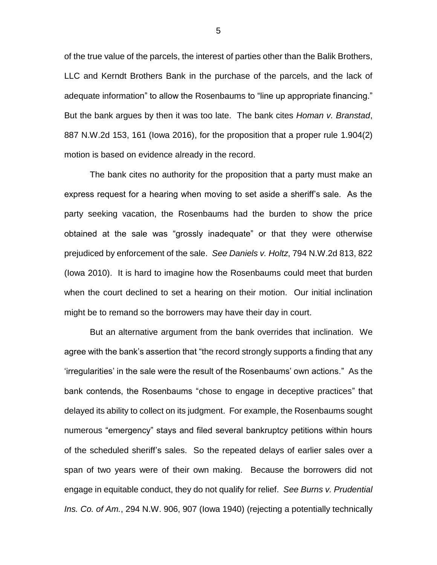of the true value of the parcels, the interest of parties other than the Balik Brothers, LLC and Kerndt Brothers Bank in the purchase of the parcels, and the lack of adequate information" to allow the Rosenbaums to "line up appropriate financing." But the bank argues by then it was too late. The bank cites *Homan v. Branstad*, 887 N.W.2d 153, 161 (Iowa 2016), for the proposition that a proper rule 1.904(2) motion is based on evidence already in the record.

The bank cites no authority for the proposition that a party must make an express request for a hearing when moving to set aside a sheriff's sale. As the party seeking vacation, the Rosenbaums had the burden to show the price obtained at the sale was "grossly inadequate" or that they were otherwise prejudiced by enforcement of the sale. *See Daniels v. Holtz*, 794 N.W.2d 813, 822 (Iowa 2010). It is hard to imagine how the Rosenbaums could meet that burden when the court declined to set a hearing on their motion. Our initial inclination might be to remand so the borrowers may have their day in court.

But an alternative argument from the bank overrides that inclination. We agree with the bank's assertion that "the record strongly supports a finding that any 'irregularities' in the sale were the result of the Rosenbaums' own actions." As the bank contends, the Rosenbaums "chose to engage in deceptive practices" that delayed its ability to collect on its judgment. For example, the Rosenbaums sought numerous "emergency" stays and filed several bankruptcy petitions within hours of the scheduled sheriff's sales. So the repeated delays of earlier sales over a span of two years were of their own making. Because the borrowers did not engage in equitable conduct, they do not qualify for relief. *See Burns v. Prudential Ins. Co. of Am.*, 294 N.W. 906, 907 (Iowa 1940) (rejecting a potentially technically

5